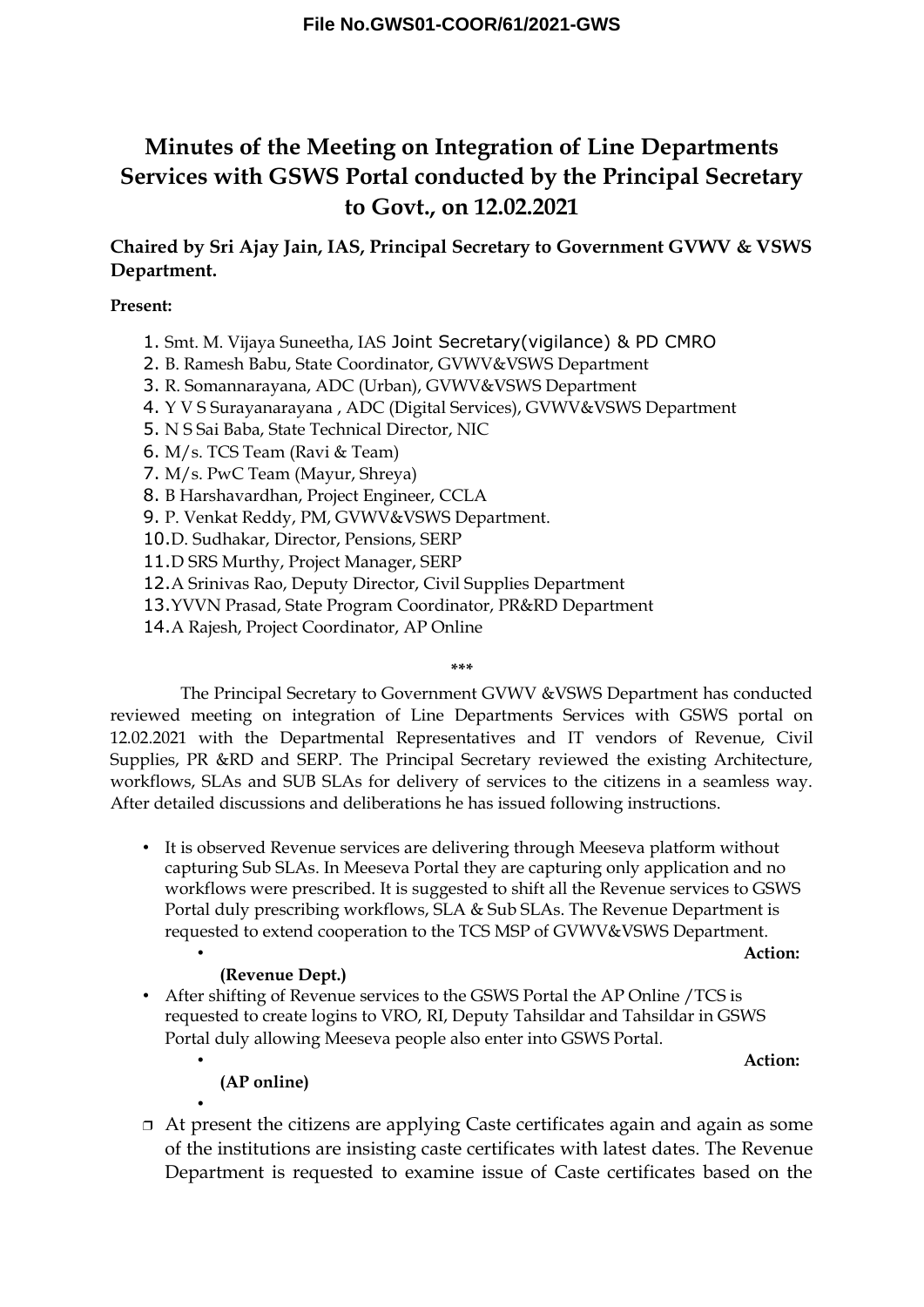# **Minutes of the Meeting on Integration of Line Departments Services with GSWS Portal conducted by the Principal Secretary to Govt., on 12.02.2021**

**Chaired by Sri Ajay Jain, IAS, Principal Secretary to Government GVWV & VSWS Department.**

### **Present:**

- 1. Smt. M. Vijaya Suneetha, IAS Joint Secretary(vigilance) & PD CMRO
- 2. B. Ramesh Babu, State Coordinator, GVWV&VSWS Department
- 3. R. Somannarayana, ADC (Urban), GVWV&VSWS Department
- 4. Y V S Surayanarayana , ADC (Digital Services), GVWV&VSWS Department
- 5. N S Sai Baba, State Technical Director, NIC
- 6. M/s. TCS Team (Ravi & Team)
- 7. M/s. PwC Team (Mayur, Shreya)
- 8. B Harshavardhan, Project Engineer, CCLA
- 9. P. Venkat Reddy, PM, GVWV&VSWS Department.
- 10.D. Sudhakar, Director, Pensions, SERP
- 11.D SRS Murthy, Project Manager, SERP
- 12.A Srinivas Rao, Deputy Director, Civil Supplies Department
- 13.YVVN Prasad, State Program Coordinator, PR&RD Department
- 14.A Rajesh, Project Coordinator, AP Online

### **\*\*\***

The Principal Secretary to Government GVWV &VSWS Department has conducted reviewed meeting on integration of Line Departments Services with GSWS portal on 12.02.2021 with the Departmental Representatives and IT vendors of Revenue, Civil Supplies, PR &RD and SERP. The Principal Secretary reviewed the existing Architecture, workflows, SLAs and SUB SLAs for delivery of services to the citizens in a seamless way. After detailed discussions and deliberations he has issued following instructions.

• It is observed Revenue services are delivering through Meeseva platform without capturing Sub SLAs. In Meeseva Portal they are capturing only application and no workflows were prescribed. It is suggested to shift all the Revenue services to GSWS Portal duly prescribing workflows, SLA & Sub SLAs. The Revenue Department is requested to extend cooperation to the TCS MSP of GVWV&VSWS Department.

#### • **Action:**

### **(Revenue Dept.)**

• After shifting of Revenue services to the GSWS Portal the AP Online /TCS is requested to create logins to VRO, RI, Deputy Tahsildar and Tahsildar in GSWS Portal duly allowing Meeseva people also enter into GSWS Portal.

• **Action:** 

**(AP online)**

•

 At present the citizens are applying Caste certificates again and again as some of the institutions are insisting caste certificates with latest dates. The Revenue Department is requested to examine issue of Caste certificates based on the